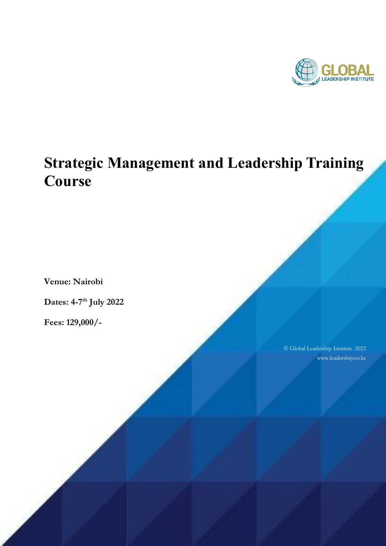

# **Strategic Management and Leadership Training Course**

**Venue: Nairobi**

**Dates: 4-7 th July 2022**

**Fees: 129,000/-**

© Global Leadership Institute 2022 www.leadership.co.ke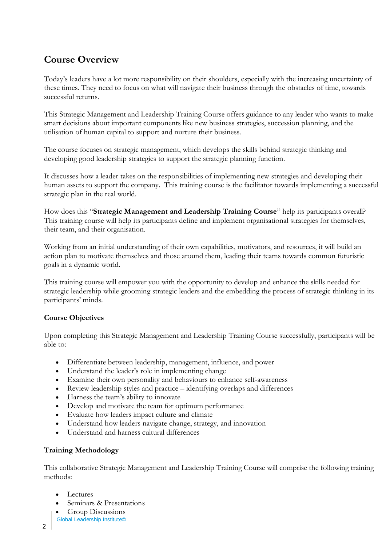# **Course Overview**

Today's leaders have a lot more responsibility on their shoulders, especially with the increasing uncertainty of these times. They need to focus on what will navigate their business through the obstacles of time, towards successful returns.

This Strategic Management and Leadership Training Course offers guidance to any leader who wants to make smart decisions about important components like new business strategies, succession planning, and the utilisation of human capital to support and nurture their business.

The course focuses on strategic management, which develops the skills behind strategic thinking and developing good leadership strategies to support the strategic planning function.

It discusses how a leader takes on the responsibilities of implementing new strategies and developing their human assets to support the company. This training course is the facilitator towards implementing a successful strategic plan in the real world.

How does this "**Strategic Management and Leadership Training Course**" help its participants overall? This training course will help its participants define and implement organisational strategies for themselves, their team, and their organisation.

Working from an initial understanding of their own capabilities, motivators, and resources, it will build an action plan to motivate themselves and those around them, leading their teams towards common futuristic goals in a dynamic world.

This training course will empower you with the opportunity to develop and enhance the skills needed for strategic leadership while grooming strategic leaders and the embedding the process of strategic thinking in its participants' minds.

# **Course Objectives**

Upon completing this Strategic Management and Leadership Training Course successfully, participants will be able to:

- Differentiate between leadership, management, influence, and power
- Understand the leader's role in implementing change
- Examine their own personality and behaviours to enhance self-awareness
- Review leadership styles and practice identifying overlaps and differences
- Harness the team's ability to innovate
- Develop and motivate the team for optimum performance
- Evaluate how leaders impact culture and climate
- Understand how leaders navigate change, strategy, and innovation
- Understand and harness cultural differences

# **Training Methodology**

This collaborative Strategic Management and Leadership Training Course will comprise the following training methods:

- Lectures
- Seminars & Presentations
- Group Discussions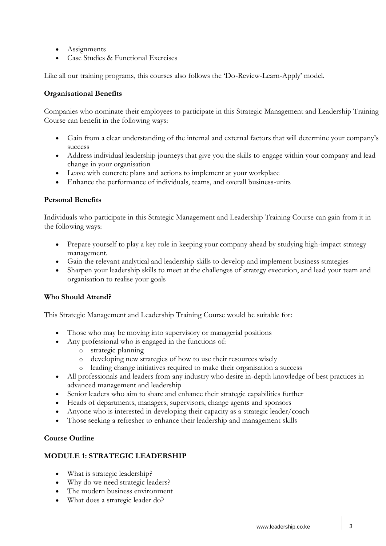- Assignments
- Case Studies & Functional Exercises

Like all our training programs, this courses also follows the 'Do-Review-Learn-Apply' model.

#### **Organisational Benefits**

Companies who nominate their employees to participate in this Strategic Management and Leadership Training Course can benefit in the following ways:

- Gain from a clear understanding of the internal and external factors that will determine your company's success
- Address individual leadership journeys that give you the skills to engage within your company and lead change in your organisation
- Leave with concrete plans and actions to implement at your workplace
- Enhance the performance of individuals, teams, and overall business-units

#### **Personal Benefits**

Individuals who participate in this Strategic Management and Leadership Training Course can gain from it in the following ways:

- Prepare yourself to play a key role in keeping your company ahead by studying high-impact strategy management.
- Gain the relevant analytical and leadership skills to develop and implement business strategies
- Sharpen your leadership skills to meet at the challenges of strategy execution, and lead your team and organisation to realise your goals

#### **Who Should Attend?**

This Strategic Management and Leadership Training Course would be suitable for:

- Those who may be moving into supervisory or managerial positions
- Any professional who is engaged in the functions of:
	- o strategic planning
	- o developing new strategies of how to use their resources wisely
	- o leading change initiatives required to make their organisation a success
- All professionals and leaders from any industry who desire in-depth knowledge of best practices in advanced management and leadership
- Senior leaders who aim to share and enhance their strategic capabilities further
- Heads of departments, managers, supervisors, change agents and sponsors
- Anyone who is interested in developing their capacity as a strategic leader/coach
- Those seeking a refresher to enhance their leadership and management skills

#### **Course Outline**

# **MODULE 1: STRATEGIC LEADERSHIP**

- What is strategic leadership?
- Why do we need strategic leaders?
- The modern business environment
- What does a strategic leader do?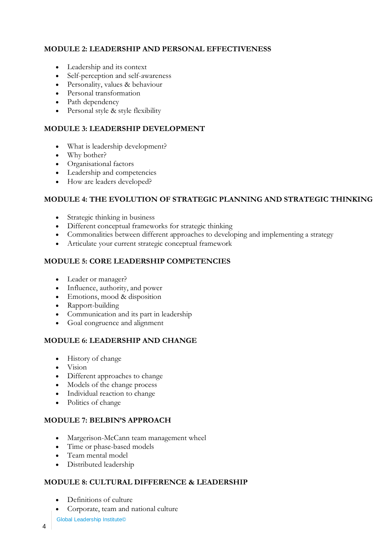# **MODULE 2: LEADERSHIP AND PERSONAL EFFECTIVENESS**

- Leadership and its context
- Self-perception and self-awareness
- Personality, values & behaviour
- Personal transformation
- Path dependency
- Personal style & style flexibility

# **MODULE 3: LEADERSHIP DEVELOPMENT**

- What is leadership development?
- Why bother?
- Organisational factors
- Leadership and competencies
- How are leaders developed?

# **MODULE 4: THE EVOLUTION OF STRATEGIC PLANNING AND STRATEGIC THINKING**

- Strategic thinking in business
- Different conceptual frameworks for [strategic thinking](https://zoetalentsolutions.com/course/creative-thinking-training-course/)
- Commonalities between different approaches to developing and implementing a strategy
- Articulate your current strategic conceptual framework

# **MODULE 5: CORE LEADERSHIP COMPETENCIES**

- Leader or manager?
- Influence, authority, and power
- Emotions, mood & disposition
- Rapport-building
- Communication and its part in leadership
- Goal congruence and alignment

# **MODULE 6: LEADERSHIP AND CHANGE**

- History of change
- Vision
- Different approaches to change
- Models of the change process
- Individual reaction to change
- Politics of change

# **MODULE 7: BELBIN'S APPROACH**

- Margerison[-McCann](https://en.wikipedia.org/wiki/Team_Role_Inventories#Team_Management_Profile_(TMP)) team management wheel
- Time or phase-based models
- Team mental model
- Distributed leadership

# **MODULE 8: CULTURAL DIFFERENCE & LEADERSHIP**

- Definitions of culture
- Corporate, team and national culture

Global Leadership Institute©